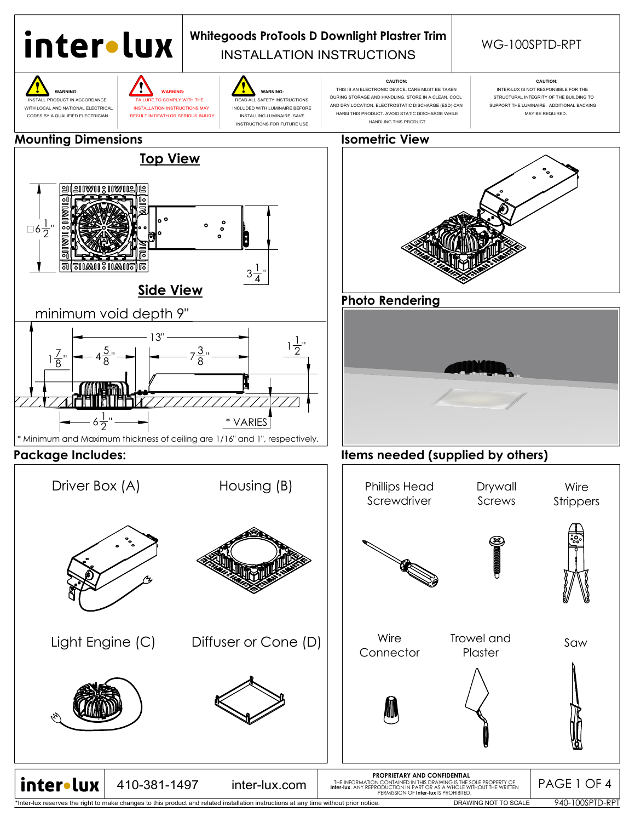

\*Inter-lux reserves the right to make changes to this product and related installation instructions at any time without prior notice.

DRAWING NOT TO SCALE

940-100SPTD-RPT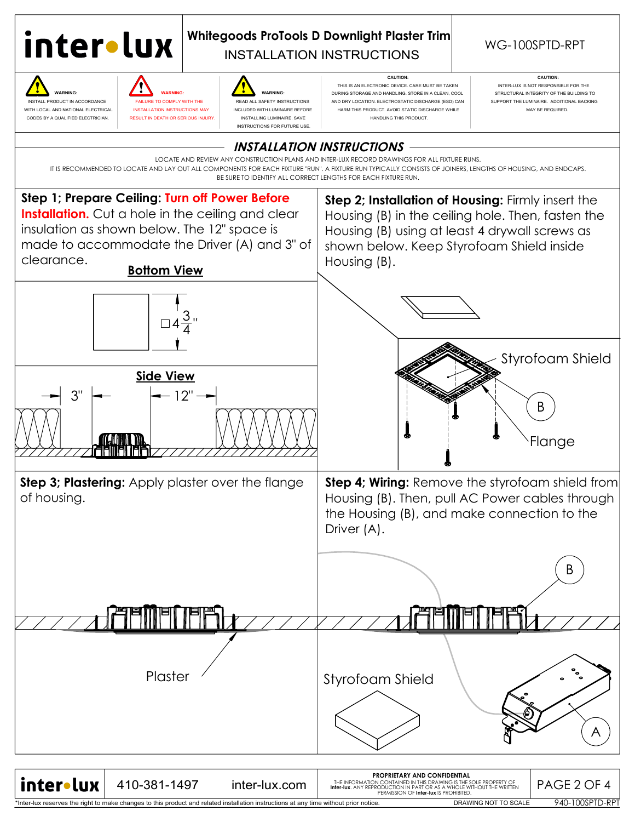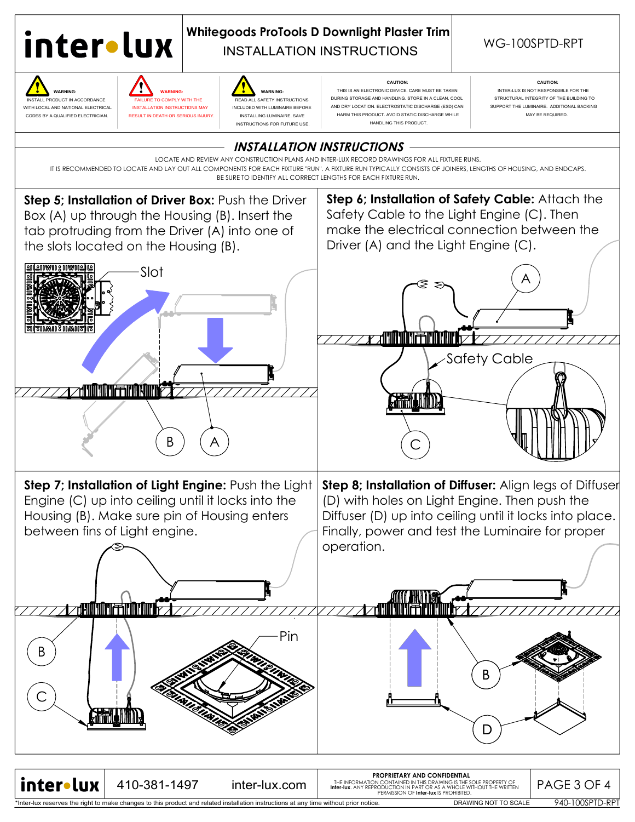

## INSTALLATION INSTRUCTIONS **Whitegoods ProTools D Downlight Plaster Trim**<br>WG-100SPTD-RPT

**<b>8** WARNING: WARNING: WARNING: WARNING: WARNING:



WITH LOCAL AND NATIONAL ELECTRICAL INSTALLATION INSTRUCTIONS MAY INCLUDED WITH LUMINAIRE BEFORE CODES BY A QUALIFIED ELECTRICIAN. RESULT IN DEATH OR SERIOUS INJURY. INSTALLING LUMINAIRE. SAVE

TALL PRODUCT IN ACCORDANCE FAILURE TO COMPLY WITH THE READ ALL SAFETY INSTRUCTIONS INSTRUCTIONS FOR FUTURE USE.

 **CAUTION: CAUTION:** THIS IS AN ELECTRONIC DEVICE. CARE MUST BE TAKEN INTER-LUX IS NOT RESPONSIBLE FOR THE DURING STORAGE AND HANDLING. STORE IN A CLEAN, COOL STRUCTURAL INTEGRITY OF THE BUILDING TO AND DRY LOCATION. ELECTROSTATIC DISCHARGE (ESD) CAN SUPPORT THE LUMINAIRE. ADDITIONAL BACKING HARM THIS PRODUCT. AVOID STATIC DISCHARGE WHILE **NARM IN A SEPARATION MAY BE REQUIRED** HANDLING THIS PRODUCT.



940-100SPTD-RPT